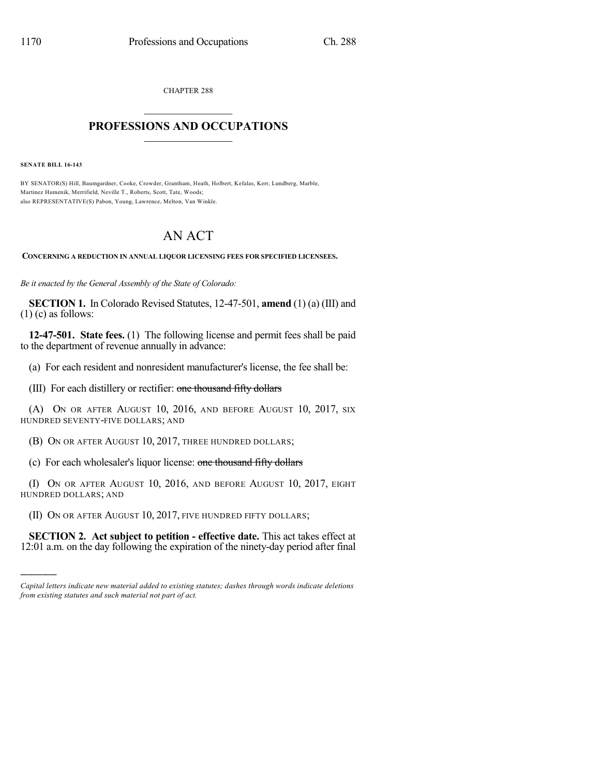CHAPTER 288

## $\mathcal{L}_\text{max}$  . The set of the set of the set of the set of the set of the set of the set of the set of the set of the set of the set of the set of the set of the set of the set of the set of the set of the set of the set **PROFESSIONS AND OCCUPATIONS**  $\frac{1}{2}$  ,  $\frac{1}{2}$  ,  $\frac{1}{2}$  ,  $\frac{1}{2}$  ,  $\frac{1}{2}$  ,  $\frac{1}{2}$  ,  $\frac{1}{2}$

**SENATE BILL 16-143**

)))))

BY SENATOR(S) Hill, Baumgardner, Cooke, Crowder, Grantham, Heath, Holbert, Kefalas, Kerr, Lundberg, Marble, Martinez Humenik, Merrifield, Neville T., Roberts, Scott, Tate, Woods; also REPRESENTATIVE(S) Pabon, Young, Lawrence, Melton, Van Winkle.

## AN ACT

**CONCERNING A REDUCTION IN ANNUAL LIQUOR LICENSING FEES FOR SPECIFIED LICENSEES.**

*Be it enacted by the General Assembly of the State of Colorado:*

**SECTION 1.** In Colorado Revised Statutes, 12-47-501, **amend** (1) (a) (III) and  $(1)$  (c) as follows:

**12-47-501. State fees.** (1) The following license and permit fees shall be paid to the department of revenue annually in advance:

(a) For each resident and nonresident manufacturer's license, the fee shall be:

(III) For each distillery or rectifier: one thousand fifty dollars

(A) ON OR AFTER AUGUST 10, 2016, AND BEFORE AUGUST 10, 2017, SIX HUNDRED SEVENTY-FIVE DOLLARS; AND

(B) ON OR AFTER AUGUST 10, 2017, THREE HUNDRED DOLLARS;

(c) For each wholesaler's liquor license: one thousand fifty dollars

(I) ON OR AFTER AUGUST 10, 2016, AND BEFORE AUGUST 10, 2017, EIGHT HUNDRED DOLLARS; AND

(II) ON OR AFTER AUGUST 10, 2017, FIVE HUNDRED FIFTY DOLLARS;

**SECTION 2. Act subject to petition - effective date.** This act takes effect at 12:01 a.m. on the day following the expiration of the ninety-day period after final

*Capital letters indicate new material added to existing statutes; dashes through words indicate deletions from existing statutes and such material not part of act.*